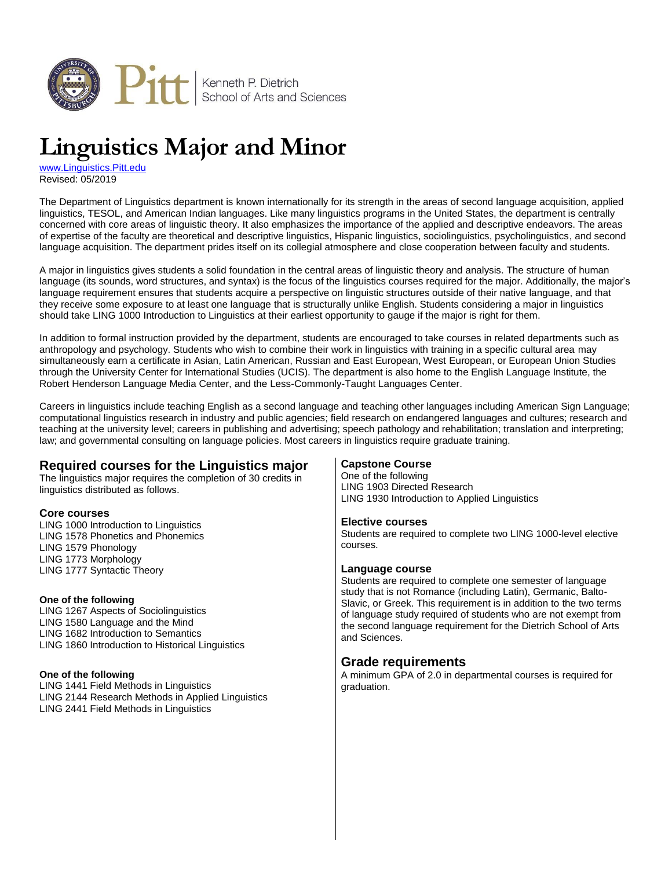

# **Linguistics Major and Minor**

[www.Linguistics.Pitt.edu](http://www.linguistics.pitt.edu/) Revised: 05/2019

The Department of Linguistics department is known internationally for its strength in the areas of second language acquisition, applied linguistics, TESOL, and American Indian languages. Like many linguistics programs in the United States, the department is centrally concerned with core areas of linguistic theory. It also emphasizes the importance of the applied and descriptive endeavors. The areas of expertise of the faculty are theoretical and descriptive linguistics, Hispanic linguistics, sociolinguistics, psycholinguistics, and second language acquisition. The department prides itself on its collegial atmosphere and close cooperation between faculty and students.

A major in linguistics gives students a solid foundation in the central areas of linguistic theory and analysis. The structure of human language (its sounds, word structures, and syntax) is the focus of the linguistics courses required for the major. Additionally, the major's language requirement ensures that students acquire a perspective on linguistic structures outside of their native language, and that they receive some exposure to at least one language that is structurally unlike English. Students considering a major in linguistics should take LING 1000 Introduction to Linguistics at their earliest opportunity to gauge if the major is right for them.

In addition to formal instruction provided by the department, students are encouraged to take courses in related departments such as anthropology and psychology. Students who wish to combine their work in linguistics with training in a specific cultural area may simultaneously earn a certificate in Asian, Latin American, Russian and East European, West European, or European Union Studies through the University Center for International Studies (UCIS). The department is also home to the English Language Institute, the Robert Henderson Language Media Center, and the Less-Commonly-Taught Languages Center.

Careers in linguistics include teaching English as a second language and teaching other languages including American Sign Language; computational linguistics research in industry and public agencies; field research on endangered languages and cultures; research and teaching at the university level; careers in publishing and advertising; speech pathology and rehabilitation; translation and interpreting; law; and governmental consulting on language policies. Most careers in linguistics require graduate training.

# **Required courses for the Linguistics major**

The linguistics major requires the completion of 30 credits in linguistics distributed as follows.

## **Core courses**

LING 1000 Introduction to Linguistics LING 1578 Phonetics and Phonemics LING 1579 Phonology LING 1773 Morphology LING 1777 Syntactic Theory

#### **One of the following**

LING 1267 Aspects of Sociolinguistics LING 1580 Language and the Mind LING 1682 Introduction to Semantics LING 1860 Introduction to Historical Linguistics

#### **One of the following**

LING 1441 Field Methods in Linguistics LING 2144 Research Methods in Applied Linguistics LING 2441 Field Methods in Linguistics

## **Capstone Course**

One of the following LING 1903 Directed Research LING 1930 Introduction to Applied Linguistics

#### **Elective courses**

Students are required to complete two LING 1000-level elective courses.

#### **Language course**

Students are required to complete one semester of language study that is not Romance (including Latin), Germanic, Balto-Slavic, or Greek. This requirement is in addition to the two terms of language study required of students who are not exempt from the second language requirement for the Dietrich School of Arts and Sciences.

# **Grade requirements**

A minimum GPA of 2.0 in departmental courses is required for graduation.